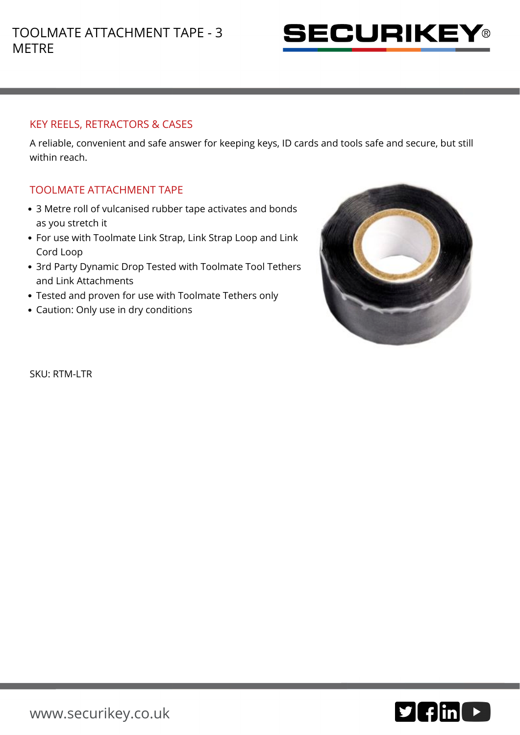

## KEY REELS, RETRACTORS & CASES

A reliable, convenient and safe answer for keeping keys, ID cards and tools safe and secure, but still within reach.

## TOOLMATE ATTACHMENT TAPE

- 3 Metre roll of vulcanised rubber tape activates and bonds as you stretch it
- For use with Toolmate Link Strap, Link Strap Loop and Link Cord Loop
- 3rd Party Dynamic Drop Tested with Toolmate Tool Tethers and Link Attachments
- Tested and proven for use with Toolmate Tethers only
- Caution: Only use in dry conditions



SKU: RTM-LTR

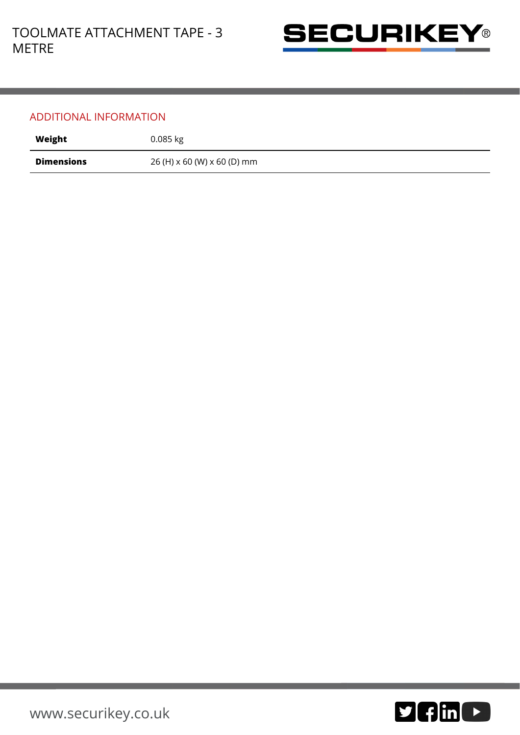

## ADDITIONAL INFORMATION

| Weight            | $0.085$ kg                  |
|-------------------|-----------------------------|
| <b>Dimensions</b> | 26 (H) x 60 (W) x 60 (D) mm |

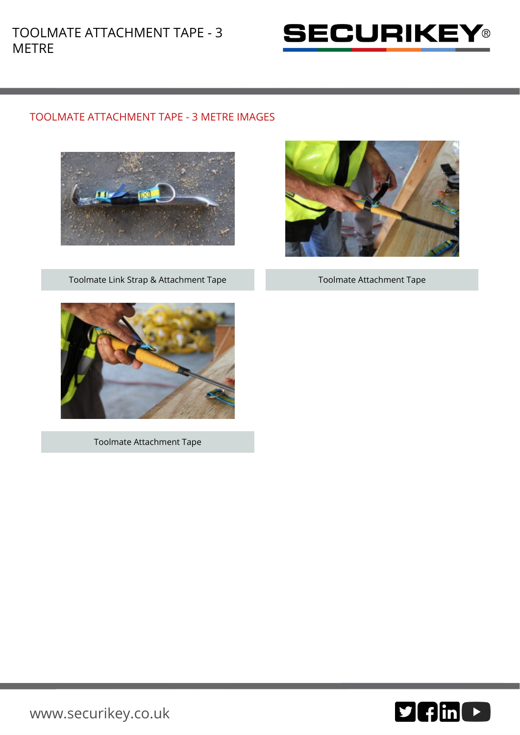

## TOOLMATE ATTACHMENT TAPE - 3 METRE IMAGES



Toolmate Link Strap & Attachment Tape Toolmate Attachment Tape





Toolmate Attachment Tape



[www.securikey.co.uk](http://www.securikey.co.uk/)